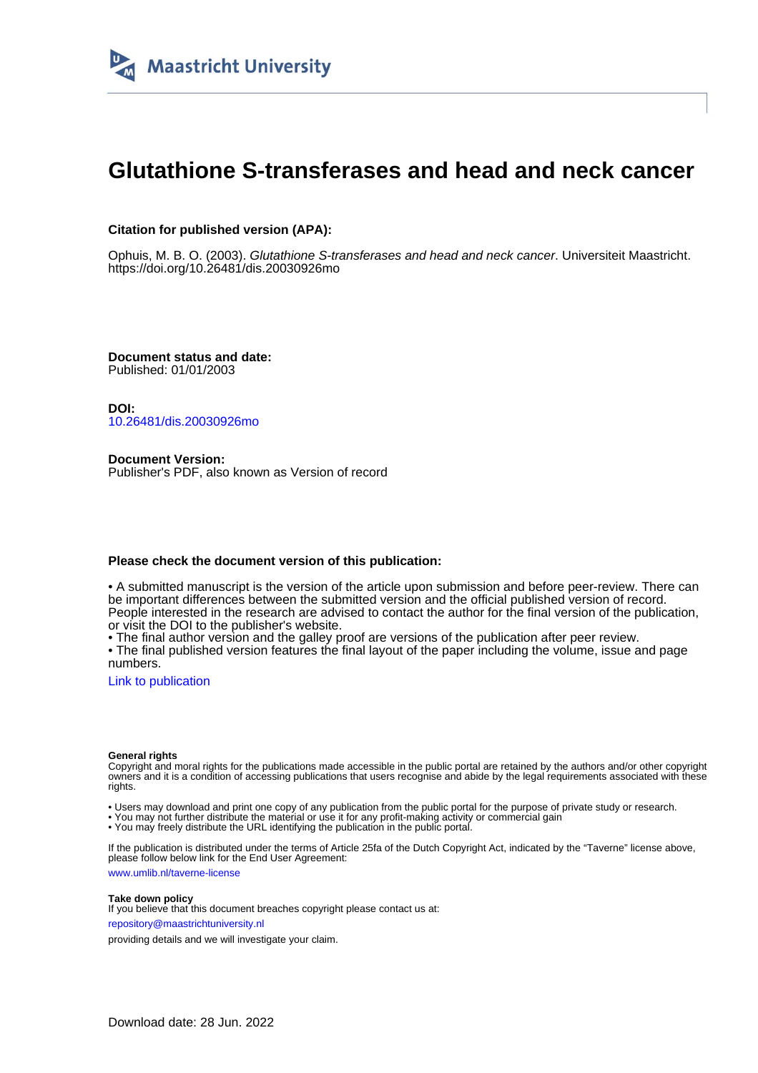

# **Glutathione S-transferases and head and neck cancer**

### **Citation for published version (APA):**

Ophuis, M. B. O. (2003). Glutathione S-transferases and head and neck cancer. Universiteit Maastricht. <https://doi.org/10.26481/dis.20030926mo>

**Document status and date:** Published: 01/01/2003

**DOI:** [10.26481/dis.20030926mo](https://doi.org/10.26481/dis.20030926mo)

**Document Version:** Publisher's PDF, also known as Version of record

#### **Please check the document version of this publication:**

• A submitted manuscript is the version of the article upon submission and before peer-review. There can be important differences between the submitted version and the official published version of record. People interested in the research are advised to contact the author for the final version of the publication, or visit the DOI to the publisher's website.

• The final author version and the galley proof are versions of the publication after peer review.

• The final published version features the final layout of the paper including the volume, issue and page numbers.

[Link to publication](https://cris.maastrichtuniversity.nl/en/publications/fa01cbac-4def-45e3-a2f8-62d4222d1ecc)

#### **General rights**

Copyright and moral rights for the publications made accessible in the public portal are retained by the authors and/or other copyright owners and it is a condition of accessing publications that users recognise and abide by the legal requirements associated with these rights.

• Users may download and print one copy of any publication from the public portal for the purpose of private study or research.

• You may not further distribute the material or use it for any profit-making activity or commercial gain

• You may freely distribute the URL identifying the publication in the public portal.

If the publication is distributed under the terms of Article 25fa of the Dutch Copyright Act, indicated by the "Taverne" license above, please follow below link for the End User Agreement:

www.umlib.nl/taverne-license

### **Take down policy**

If you believe that this document breaches copyright please contact us at: repository@maastrichtuniversity.nl

providing details and we will investigate your claim.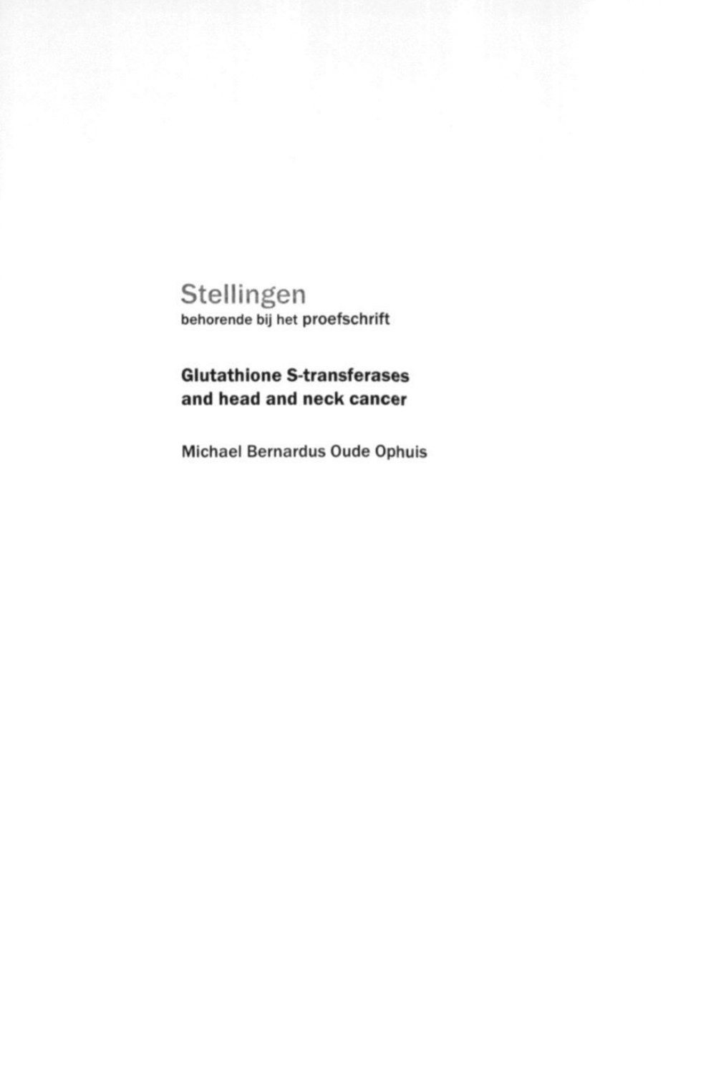# Stellingen **behorende bij het proefschrift**

## **Glutathione S-transferases and head and neck cancer**

Michael Bernardus Oude Ophuis